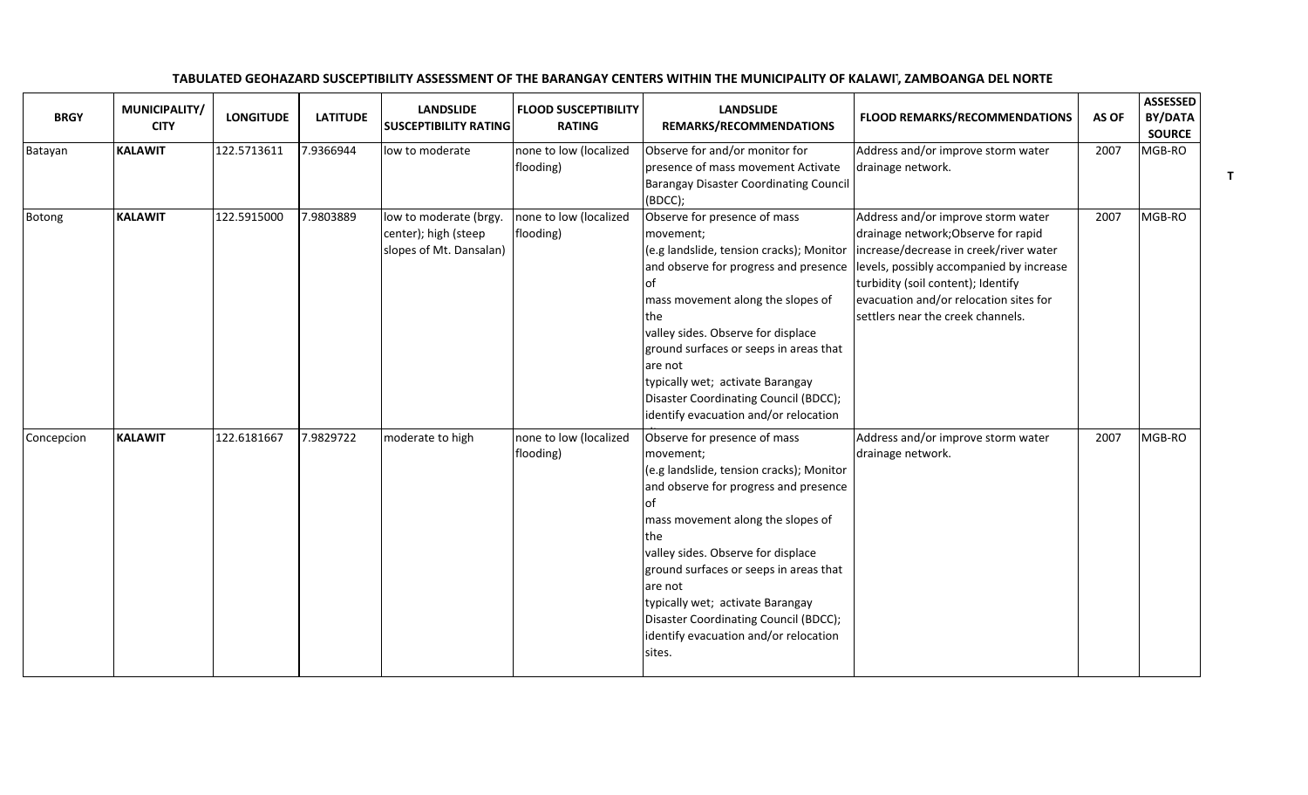| <b>BRGY</b> | MUNICIPALITY/<br><b>CITY</b> | <b>LONGITUDE</b> | <b>LATITUDE</b> | <b>LANDSLIDE</b><br><b>SUSCEPTIBILITY RATING</b>                          | <b>FLOOD SUSCEPTIBILITY</b><br><b>RATING</b> | <b>LANDSLIDE</b><br>REMARKS/RECOMMENDATIONS                                                                                                                                                                                                                                                                                                                                                                   | <b>FLOOD REMARKS/RECOMMENDATIONS</b>                                                                                                                                                                                                                                                 | AS OF | <b>ASSESSED</b><br>BY/DATA<br><b>SOURCE</b> |
|-------------|------------------------------|------------------|-----------------|---------------------------------------------------------------------------|----------------------------------------------|---------------------------------------------------------------------------------------------------------------------------------------------------------------------------------------------------------------------------------------------------------------------------------------------------------------------------------------------------------------------------------------------------------------|--------------------------------------------------------------------------------------------------------------------------------------------------------------------------------------------------------------------------------------------------------------------------------------|-------|---------------------------------------------|
| Batayan     | <b>KALAWIT</b>               | 122.5713611      | 7.9366944       | low to moderate                                                           | none to low (localized<br>flooding)          | Observe for and/or monitor for<br>presence of mass movement Activate<br><b>Barangay Disaster Coordinating Council</b><br>(BDCC);                                                                                                                                                                                                                                                                              | Address and/or improve storm water<br>drainage network.                                                                                                                                                                                                                              | 2007  | MGB-RO                                      |
| Botong      | <b>KALAWIT</b>               | 122.5915000      | 7.9803889       | low to moderate (brgy.<br>center); high (steep<br>slopes of Mt. Dansalan) | none to low (localized<br>flooding)          | Observe for presence of mass<br>movement;<br>(e.g landslide, tension cracks); Monitor<br>and observe for progress and presence<br>of<br>mass movement along the slopes of<br>the<br>valley sides. Observe for displace<br>ground surfaces or seeps in areas that<br>are not<br>typically wet; activate Barangay<br>Disaster Coordinating Council (BDCC);<br>identify evacuation and/or relocation             | Address and/or improve storm water<br>drainage network; Observe for rapid<br>increase/decrease in creek/river water<br>levels, possibly accompanied by increase<br>turbidity (soil content); Identify<br>evacuation and/or relocation sites for<br>settlers near the creek channels. | 2007  | MGB-RO                                      |
| Concepcion  | <b>KALAWIT</b>               | 122.6181667      | 7.9829722       | moderate to high                                                          | none to low (localized<br>flooding)          | Observe for presence of mass<br>movement;<br>(e.g landslide, tension cracks); Monitor<br>and observe for progress and presence<br>l of<br>mass movement along the slopes of<br>the<br>valley sides. Observe for displace<br>ground surfaces or seeps in areas that<br>are not<br>typically wet; activate Barangay<br>Disaster Coordinating Council (BDCC);<br>identify evacuation and/or relocation<br>sites. | Address and/or improve storm water<br>drainage network.                                                                                                                                                                                                                              | 2007  | MGB-RO                                      |

## TABULATED GEOHAZARD SUSCEPTIBILITY ASSESSMENT OF THE BARANGAY CENTERS WITHIN THE MUNICIPALITY OF KALAWIT, ZAMBOANGA DEL NORTE

T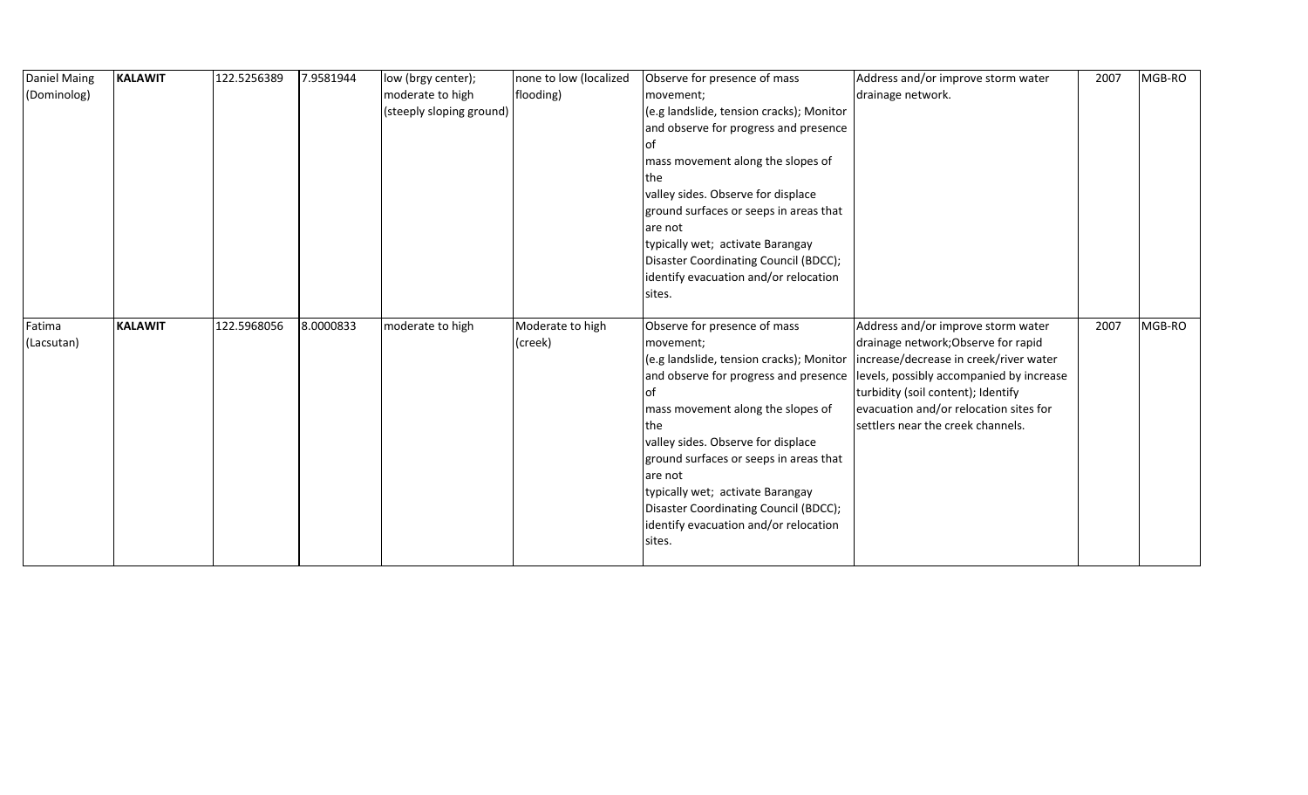| Daniel Maing | <b>KALAWIT</b> | 122.5256389 | 7.9581944 | low (brgy center);       | none to low (localized | Observe for presence of mass             | Address and/or improve storm water       | 2007 | MGB-RO |
|--------------|----------------|-------------|-----------|--------------------------|------------------------|------------------------------------------|------------------------------------------|------|--------|
| (Dominolog)  |                |             |           | moderate to high         | flooding)              | movement;                                | drainage network.                        |      |        |
|              |                |             |           | (steeply sloping ground) |                        | (e.g landslide, tension cracks); Monitor |                                          |      |        |
|              |                |             |           |                          |                        | and observe for progress and presence    |                                          |      |        |
|              |                |             |           |                          |                        | l Ot                                     |                                          |      |        |
|              |                |             |           |                          |                        | mass movement along the slopes of        |                                          |      |        |
|              |                |             |           |                          |                        | lthe.                                    |                                          |      |        |
|              |                |             |           |                          |                        | valley sides. Observe for displace       |                                          |      |        |
|              |                |             |           |                          |                        | ground surfaces or seeps in areas that   |                                          |      |        |
|              |                |             |           |                          |                        | are not                                  |                                          |      |        |
|              |                |             |           |                          |                        | typically wet; activate Barangay         |                                          |      |        |
|              |                |             |           |                          |                        | Disaster Coordinating Council (BDCC);    |                                          |      |        |
|              |                |             |           |                          |                        | identify evacuation and/or relocation    |                                          |      |        |
|              |                |             |           |                          |                        | sites.                                   |                                          |      |        |
|              |                |             |           |                          |                        |                                          |                                          |      |        |
|              |                |             |           |                          |                        |                                          |                                          |      |        |
| Fatima       | <b>KALAWIT</b> | 122.5968056 | 8.0000833 | moderate to high         | Moderate to high       | Observe for presence of mass             | Address and/or improve storm water       | 2007 | MGB-RO |
| (Lacsutan)   |                |             |           |                          | (creek)                | movement;                                | drainage network; Observe for rapid      |      |        |
|              |                |             |           |                          |                        | (e.g landslide, tension cracks); Monitor | increase/decrease in creek/river water   |      |        |
|              |                |             |           |                          |                        | and observe for progress and presence    | levels, possibly accompanied by increase |      |        |
|              |                |             |           |                          |                        | l of                                     | turbidity (soil content); Identify       |      |        |
|              |                |             |           |                          |                        | mass movement along the slopes of        | evacuation and/or relocation sites for   |      |        |
|              |                |             |           |                          |                        | the                                      | settlers near the creek channels.        |      |        |
|              |                |             |           |                          |                        | valley sides. Observe for displace       |                                          |      |        |
|              |                |             |           |                          |                        | ground surfaces or seeps in areas that   |                                          |      |        |
|              |                |             |           |                          |                        | are not                                  |                                          |      |        |
|              |                |             |           |                          |                        | typically wet; activate Barangay         |                                          |      |        |
|              |                |             |           |                          |                        | Disaster Coordinating Council (BDCC);    |                                          |      |        |
|              |                |             |           |                          |                        | identify evacuation and/or relocation    |                                          |      |        |
|              |                |             |           |                          |                        | sites.                                   |                                          |      |        |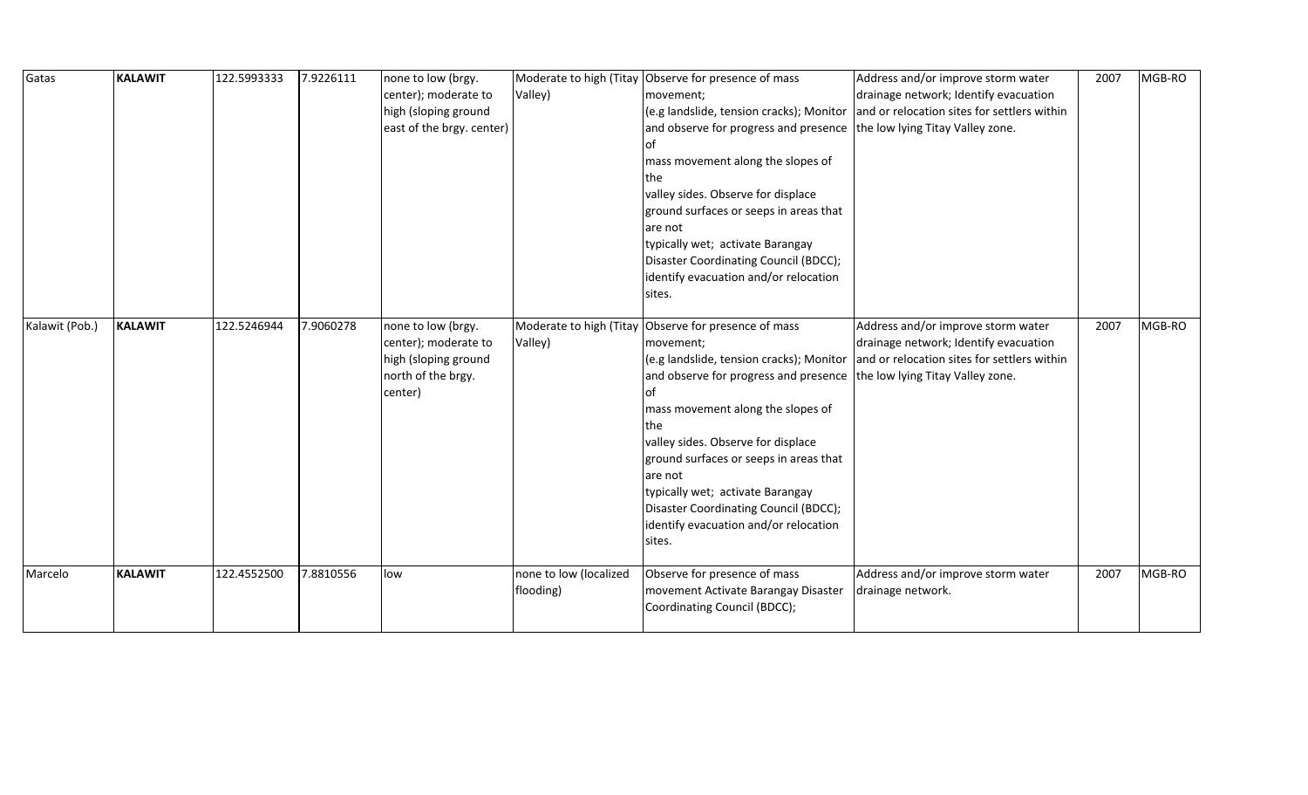| Gatas          | <b>KALAWIT</b> | 122.5993333 | 7.9226111 | none to low (brgy.        |                         | Moderate to high (Titay Observe for presence of mass                   | Address and/or improve storm water          | 2007 | MGB-RO |
|----------------|----------------|-------------|-----------|---------------------------|-------------------------|------------------------------------------------------------------------|---------------------------------------------|------|--------|
|                |                |             |           | center); moderate to      | Valley)                 | movement;                                                              | drainage network; Identify evacuation       |      |        |
|                |                |             |           | high (sloping ground      |                         | (e.g landslide, tension cracks); Monitor                               | and or relocation sites for settlers within |      |        |
|                |                |             |           | east of the brgy. center) |                         | and observe for progress and presence the low lying Titay Valley zone. |                                             |      |        |
|                |                |             |           |                           |                         | l of                                                                   |                                             |      |        |
|                |                |             |           |                           |                         | mass movement along the slopes of                                      |                                             |      |        |
|                |                |             |           |                           |                         | <b>Ithe</b>                                                            |                                             |      |        |
|                |                |             |           |                           |                         | valley sides. Observe for displace                                     |                                             |      |        |
|                |                |             |           |                           |                         | ground surfaces or seeps in areas that                                 |                                             |      |        |
|                |                |             |           |                           |                         | are not                                                                |                                             |      |        |
|                |                |             |           |                           |                         | typically wet; activate Barangay                                       |                                             |      |        |
|                |                |             |           |                           |                         | Disaster Coordinating Council (BDCC);                                  |                                             |      |        |
|                |                |             |           |                           |                         | identify evacuation and/or relocation                                  |                                             |      |        |
|                |                |             |           |                           |                         | sites.                                                                 |                                             |      |        |
|                |                |             |           |                           |                         |                                                                        |                                             |      |        |
| Kalawit (Pob.) | <b>KALAWIT</b> | 122.5246944 | 7.9060278 | none to low (brgy.        | Moderate to high (Titay | Observe for presence of mass                                           | Address and/or improve storm water          | 2007 | MGB-RO |
|                |                |             |           | center); moderate to      | Valley)                 | movement;                                                              | drainage network; Identify evacuation       |      |        |
|                |                |             |           | high (sloping ground      |                         | (e.g landslide, tension cracks); Monitor                               | and or relocation sites for settlers within |      |        |
|                |                |             |           | north of the brgy.        |                         | and observe for progress and presence the low lying Titay Valley zone. |                                             |      |        |
|                |                |             |           | center)                   |                         | l of                                                                   |                                             |      |        |
|                |                |             |           |                           |                         | mass movement along the slopes of                                      |                                             |      |        |
|                |                |             |           |                           |                         | the                                                                    |                                             |      |        |
|                |                |             |           |                           |                         | valley sides. Observe for displace                                     |                                             |      |        |
|                |                |             |           |                           |                         | ground surfaces or seeps in areas that                                 |                                             |      |        |
|                |                |             |           |                           |                         | are not                                                                |                                             |      |        |
|                |                |             |           |                           |                         | typically wet; activate Barangay                                       |                                             |      |        |
|                |                |             |           |                           |                         | Disaster Coordinating Council (BDCC);                                  |                                             |      |        |
|                |                |             |           |                           |                         | identify evacuation and/or relocation                                  |                                             |      |        |
|                |                |             |           |                           |                         | sites.                                                                 |                                             |      |        |
| Marcelo        | <b>KALAWIT</b> | 122.4552500 | 7.8810556 | low                       | none to low (localized  | Observe for presence of mass                                           | Address and/or improve storm water          | 2007 | MGB-RO |
|                |                |             |           |                           | flooding)               | movement Activate Barangay Disaster                                    | drainage network.                           |      |        |
|                |                |             |           |                           |                         | Coordinating Council (BDCC);                                           |                                             |      |        |
|                |                |             |           |                           |                         |                                                                        |                                             |      |        |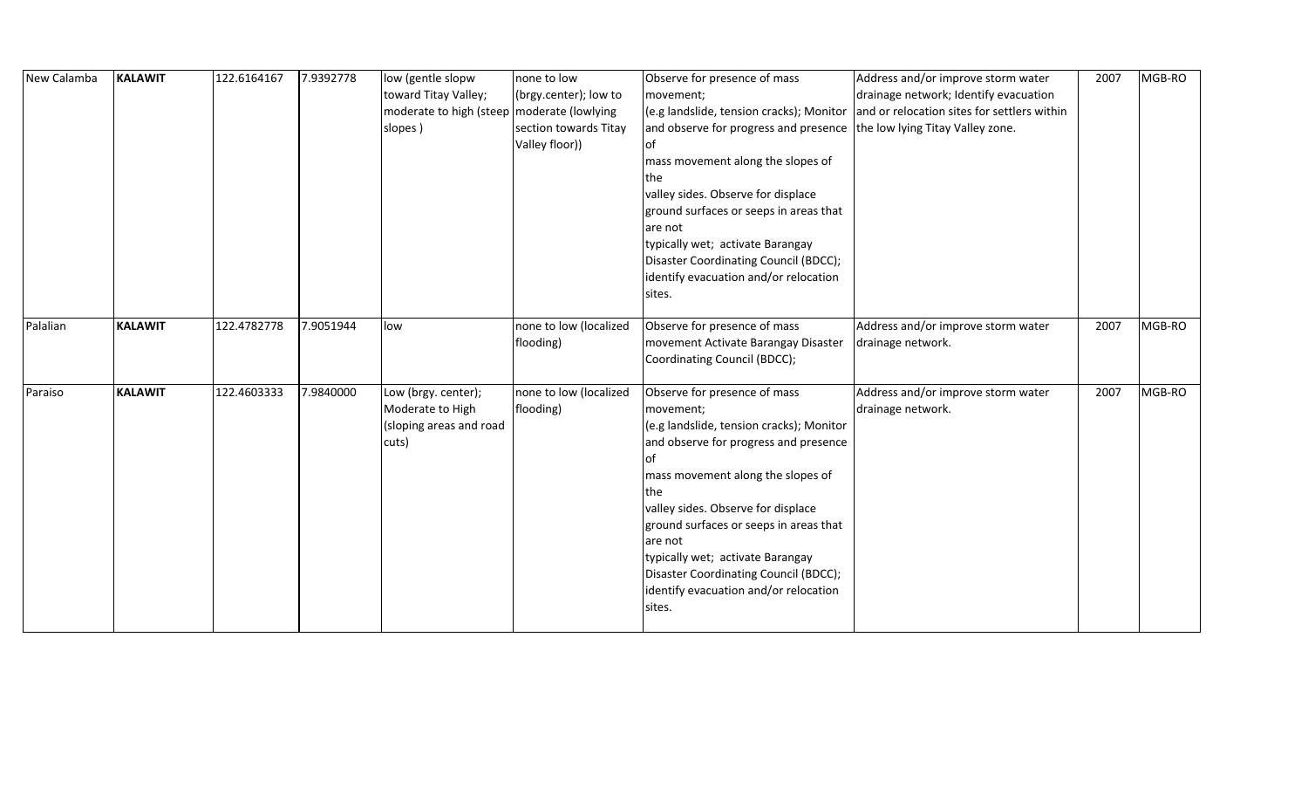| New Calamba | <b>KALAWIT</b> | 122.6164167 | 7.9392778 | low (gentle slopw<br>toward Titay Valley;<br>moderate to high (steep   moderate (lowlying<br>slopes) | none to low<br>(brgy.center); low to<br>section towards Titay<br>Valley floor)) | Observe for presence of mass<br>movement;<br>(e.g landslide, tension cracks); Monitor<br>and observe for progress and presence<br>lof<br>mass movement along the slopes of<br>the<br>valley sides. Observe for displace<br>ground surfaces or seeps in areas that<br>are not<br>typically wet; activate Barangay<br>Disaster Coordinating Council (BDCC);<br>identify evacuation and/or relocation<br>sites. | Address and/or improve storm water<br>drainage network; Identify evacuation<br>and or relocation sites for settlers within<br>the low lying Titay Valley zone. | 2007 | MGB-RO |
|-------------|----------------|-------------|-----------|------------------------------------------------------------------------------------------------------|---------------------------------------------------------------------------------|--------------------------------------------------------------------------------------------------------------------------------------------------------------------------------------------------------------------------------------------------------------------------------------------------------------------------------------------------------------------------------------------------------------|----------------------------------------------------------------------------------------------------------------------------------------------------------------|------|--------|
| Palalian    | <b>KALAWIT</b> | 122.4782778 | 7.9051944 | low                                                                                                  | none to low (localized<br>flooding)                                             | Observe for presence of mass<br>movement Activate Barangay Disaster<br>Coordinating Council (BDCC);                                                                                                                                                                                                                                                                                                          | Address and/or improve storm water<br>drainage network.                                                                                                        | 2007 | MGB-RO |
| Paraiso     | <b>KALAWIT</b> | 122.4603333 | 7.9840000 | Low (brgy. center);<br>Moderate to High<br>(sloping areas and road<br>cuts)                          | none to low (localized<br>flooding)                                             | Observe for presence of mass<br>movement;<br>(e.g landslide, tension cracks); Monitor<br>and observe for progress and presence<br>lof<br>mass movement along the slopes of<br>the<br>valley sides. Observe for displace<br>ground surfaces or seeps in areas that<br>are not<br>typically wet; activate Barangay<br>Disaster Coordinating Council (BDCC);<br>identify evacuation and/or relocation<br>sites. | Address and/or improve storm water<br>drainage network.                                                                                                        | 2007 | MGB-RO |